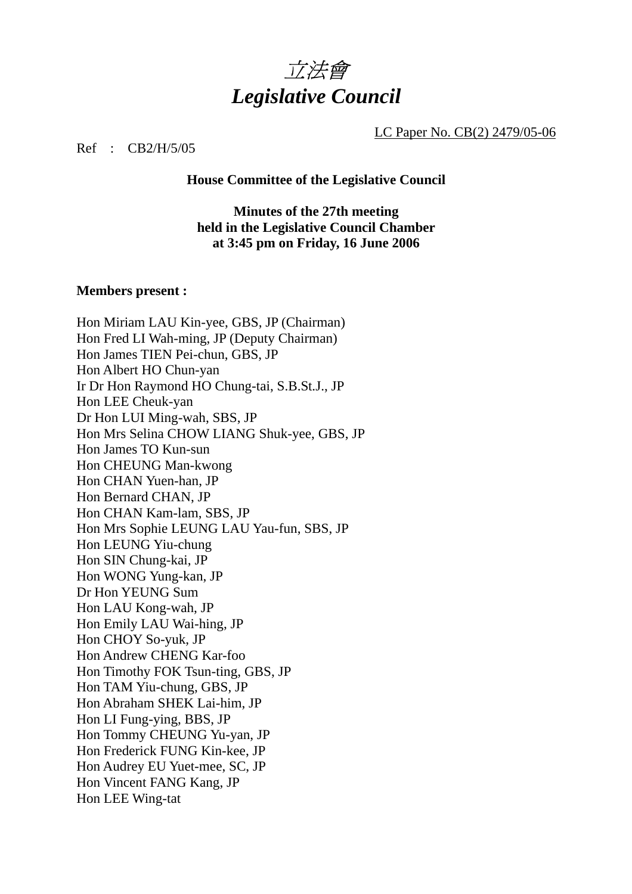

LC Paper No. CB(2) 2479/05-06

Ref : CB2/H/5/05

**House Committee of the Legislative Council** 

**Minutes of the 27th meeting held in the Legislative Council Chamber at 3:45 pm on Friday, 16 June 2006** 

#### **Members present :**

Hon Miriam LAU Kin-yee, GBS, JP (Chairman) Hon Fred LI Wah-ming, JP (Deputy Chairman) Hon James TIEN Pei-chun, GBS, JP Hon Albert HO Chun-yan Ir Dr Hon Raymond HO Chung-tai, S.B.St.J., JP Hon LEE Cheuk-yan Dr Hon LUI Ming-wah, SBS, JP Hon Mrs Selina CHOW LIANG Shuk-yee, GBS, JP Hon James TO Kun-sun Hon CHEUNG Man-kwong Hon CHAN Yuen-han, JP Hon Bernard CHAN, JP Hon CHAN Kam-lam, SBS, JP Hon Mrs Sophie LEUNG LAU Yau-fun, SBS, JP Hon LEUNG Yiu-chung Hon SIN Chung-kai, JP Hon WONG Yung-kan, JP Dr Hon YEUNG Sum Hon LAU Kong-wah, JP Hon Emily LAU Wai-hing, JP Hon CHOY So-yuk, JP Hon Andrew CHENG Kar-foo Hon Timothy FOK Tsun-ting, GBS, JP Hon TAM Yiu-chung, GBS, JP Hon Abraham SHEK Lai-him, JP Hon LI Fung-ying, BBS, JP Hon Tommy CHEUNG Yu-yan, JP Hon Frederick FUNG Kin-kee, JP Hon Audrey EU Yuet-mee, SC, JP Hon Vincent FANG Kang, JP Hon LEE Wing-tat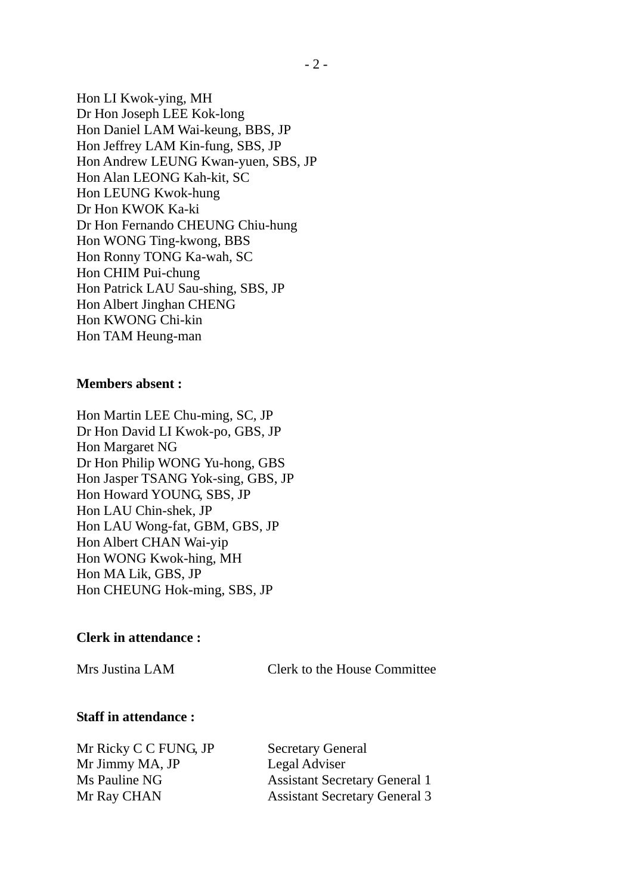Hon LI Kwok-ying, MH Dr Hon Joseph LEE Kok-long Hon Daniel LAM Wai-keung, BBS, JP Hon Jeffrey LAM Kin-fung, SBS, JP Hon Andrew LEUNG Kwan-yuen, SBS, JP Hon Alan LEONG Kah-kit, SC Hon LEUNG Kwok-hung Dr Hon KWOK Ka-ki Dr Hon Fernando CHEUNG Chiu-hung Hon WONG Ting-kwong, BBS Hon Ronny TONG Ka-wah, SC Hon CHIM Pui-chung Hon Patrick LAU Sau-shing, SBS, JP Hon Albert Jinghan CHENG Hon KWONG Chi-kin Hon TAM Heung-man

#### **Members absent :**

Hon Martin LEE Chu-ming, SC, JP Dr Hon David LI Kwok-po, GBS, JP Hon Margaret NG Dr Hon Philip WONG Yu-hong, GBS Hon Jasper TSANG Yok-sing, GBS, JP Hon Howard YOUNG, SBS, JP Hon LAU Chin-shek, JP Hon LAU Wong-fat, GBM, GBS, JP Hon Albert CHAN Wai-yip Hon WONG Kwok-hing, MH Hon MA Lik, GBS, JP Hon CHEUNG Hok-ming, SBS, JP

#### **Clerk in attendance :**

Mrs Justina LAM Clerk to the House Committee

#### **Staff in attendance :**

Mr Ricky C C FUNG, JP Secretary General Mr Jimmy MA, JP Legal Adviser

Ms Pauline NG Assistant Secretary General 1 Mr Ray CHAN Assistant Secretary General 3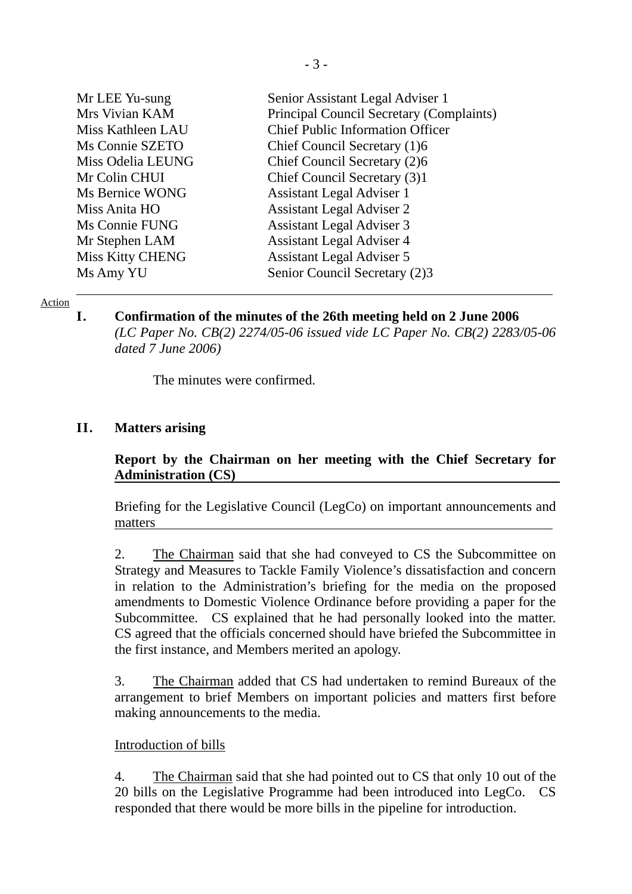| Senior Assistant Legal Adviser 1         |
|------------------------------------------|
| Principal Council Secretary (Complaints) |
| <b>Chief Public Information Officer</b>  |
| Chief Council Secretary (1)6             |
| Chief Council Secretary (2)6             |
| Chief Council Secretary (3)1             |
| <b>Assistant Legal Adviser 1</b>         |
| <b>Assistant Legal Adviser 2</b>         |
| <b>Assistant Legal Adviser 3</b>         |
| <b>Assistant Legal Adviser 4</b>         |
| <b>Assistant Legal Adviser 5</b>         |
| Senior Council Secretary (2)3            |
|                                          |

#### Action

**I. Confirmation of the minutes of the 26th meeting held on 2 June 2006**  *(LC Paper No. CB(2) 2274/05-06 issued vide LC Paper No. CB(2) 2283/05-06 dated 7 June 2006)* 

The minutes were confirmed.

#### **II. Matters arising**

### **Report by the Chairman on her meeting with the Chief Secretary for Administration (CS)**

Briefing for the Legislative Council (LegCo) on important announcements and matters

2. The Chairman said that she had conveyed to CS the Subcommittee on Strategy and Measures to Tackle Family Violence's dissatisfaction and concern in relation to the Administration's briefing for the media on the proposed amendments to Domestic Violence Ordinance before providing a paper for the Subcommittee. CS explained that he had personally looked into the matter. CS agreed that the officials concerned should have briefed the Subcommittee in the first instance, and Members merited an apology.

3. The Chairman added that CS had undertaken to remind Bureaux of the arrangement to brief Members on important policies and matters first before making announcements to the media.

#### Introduction of bills

4. The Chairman said that she had pointed out to CS that only 10 out of the 20 bills on the Legislative Programme had been introduced into LegCo. CS responded that there would be more bills in the pipeline for introduction.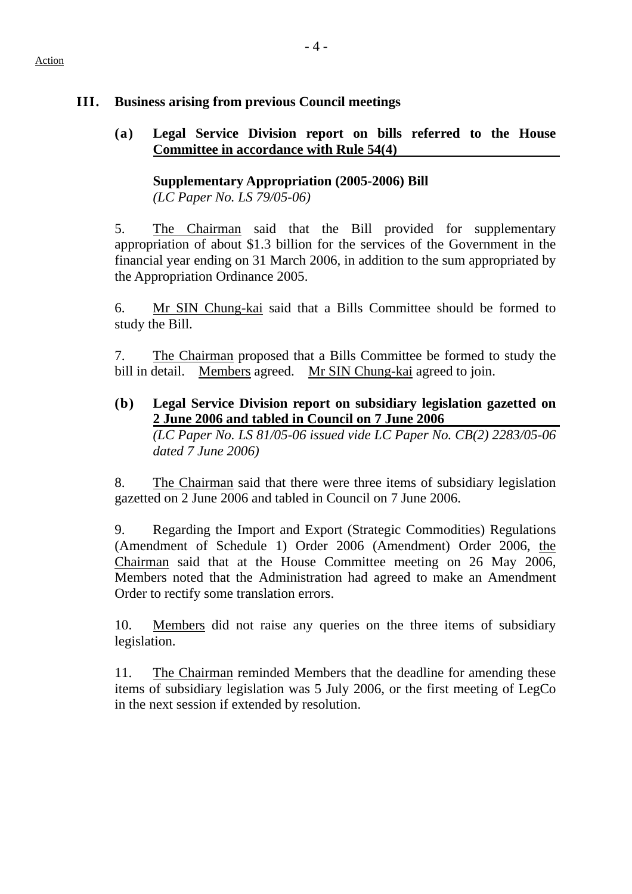# **III. Business arising from previous Council meetings**

**(a) Legal Service Division report on bills referred to the House Committee in accordance with Rule 54(4)** 

## **Supplementary Appropriation (2005-2006) Bill**  *(LC Paper No. LS 79/05-06)*

5. The Chairman said that the Bill provided for supplementary appropriation of about \$1.3 billion for the services of the Government in the financial year ending on 31 March 2006, in addition to the sum appropriated by the Appropriation Ordinance 2005.

6. Mr SIN Chung-kai said that a Bills Committee should be formed to study the Bill.

7. The Chairman proposed that a Bills Committee be formed to study the bill in detail. Members agreed. Mr SIN Chung-kai agreed to join.

**(b) Legal Service Division report on subsidiary legislation gazetted on 2 June 2006 and tabled in Council on 7 June 2006**  *(LC Paper No. LS 81/05-06 issued vide LC Paper No. CB(2) 2283/05-06 dated 7 June 2006)* 

8. The Chairman said that there were three items of subsidiary legislation gazetted on 2 June 2006 and tabled in Council on 7 June 2006.

9. Regarding the Import and Export (Strategic Commodities) Regulations (Amendment of Schedule 1) Order 2006 (Amendment) Order 2006, the Chairman said that at the House Committee meeting on 26 May 2006, Members noted that the Administration had agreed to make an Amendment Order to rectify some translation errors.

10. Members did not raise any queries on the three items of subsidiary legislation.

11. The Chairman reminded Members that the deadline for amending these items of subsidiary legislation was 5 July 2006, or the first meeting of LegCo in the next session if extended by resolution.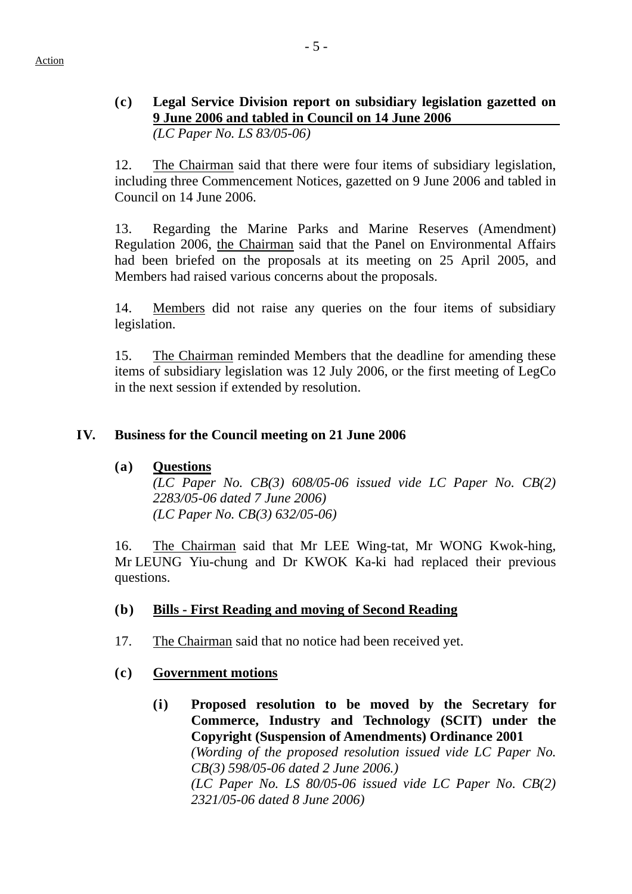# **(c) Legal Service Division report on subsidiary legislation gazetted on 9 June 2006 and tabled in Council on 14 June 2006**

*(LC Paper No. LS 83/05-06)* 

12. The Chairman said that there were four items of subsidiary legislation, including three Commencement Notices, gazetted on 9 June 2006 and tabled in Council on 14 June 2006.

13. Regarding the Marine Parks and Marine Reserves (Amendment) Regulation 2006, the Chairman said that the Panel on Environmental Affairs had been briefed on the proposals at its meeting on 25 April 2005, and Members had raised various concerns about the proposals.

14. Members did not raise any queries on the four items of subsidiary legislation.

15. The Chairman reminded Members that the deadline for amending these items of subsidiary legislation was 12 July 2006, or the first meeting of LegCo in the next session if extended by resolution.

### **IV. Business for the Council meeting on 21 June 2006**

### **(a) Questions**

*(LC Paper No. CB(3) 608/05-06 issued vide LC Paper No. CB(2) 2283/05-06 dated 7 June 2006) (LC Paper No. CB(3) 632/05-06)* 

16. The Chairman said that Mr LEE Wing-tat, Mr WONG Kwok-hing, Mr LEUNG Yiu-chung and Dr KWOK Ka-ki had replaced their previous questions.

### **(b) Bills - First Reading and moving of Second Reading**

17. The Chairman said that no notice had been received yet.

### **(c) Government motions**

**(i) Proposed resolution to be moved by the Secretary for Commerce, Industry and Technology (SCIT) under the Copyright (Suspension of Amendments) Ordinance 2001** *(Wording of the proposed resolution issued vide LC Paper No. CB(3) 598/05-06 dated 2 June 2006.) (LC Paper No. LS 80/05-06 issued vide LC Paper No. CB(2) 2321/05-06 dated 8 June 2006)*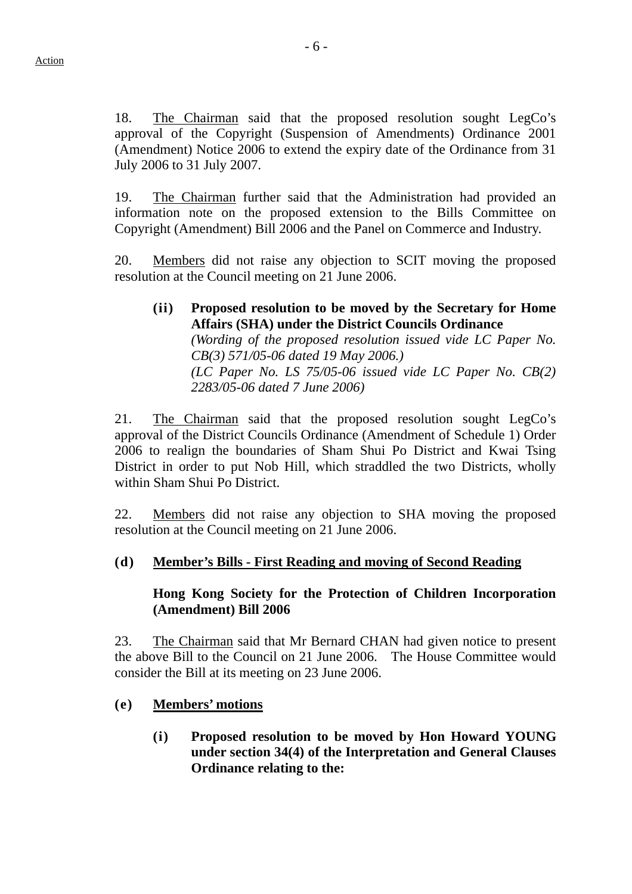18. The Chairman said that the proposed resolution sought LegCo's approval of the Copyright (Suspension of Amendments) Ordinance 2001 (Amendment) Notice 2006 to extend the expiry date of the Ordinance from 31 July 2006 to 31 July 2007.

19. The Chairman further said that the Administration had provided an information note on the proposed extension to the Bills Committee on Copyright (Amendment) Bill 2006 and the Panel on Commerce and Industry.

20. Members did not raise any objection to SCIT moving the proposed resolution at the Council meeting on 21 June 2006.

**(ii) Proposed resolution to be moved by the Secretary for Home Affairs (SHA) under the District Councils Ordinance** *(Wording of the proposed resolution issued vide LC Paper No. CB(3) 571/05-06 dated 19 May 2006.) (LC Paper No. LS 75/05-06 issued vide LC Paper No. CB(2) 2283/05-06 dated 7 June 2006)* 

21. The Chairman said that the proposed resolution sought LegCo's approval of the District Councils Ordinance (Amendment of Schedule 1) Order 2006 to realign the boundaries of Sham Shui Po District and Kwai Tsing District in order to put Nob Hill, which straddled the two Districts, wholly within Sham Shui Po District.

22. Members did not raise any objection to SHA moving the proposed resolution at the Council meeting on 21 June 2006.

# **(d) Member's Bills - First Reading and moving of Second Reading**

### **Hong Kong Society for the Protection of Children Incorporation (Amendment) Bill 2006**

23. The Chairman said that Mr Bernard CHAN had given notice to present the above Bill to the Council on 21 June 2006. The House Committee would consider the Bill at its meeting on 23 June 2006.

## **(e) Members' motions**

**(i) Proposed resolution to be moved by Hon Howard YOUNG under section 34(4) of the Interpretation and General Clauses Ordinance relating to the:**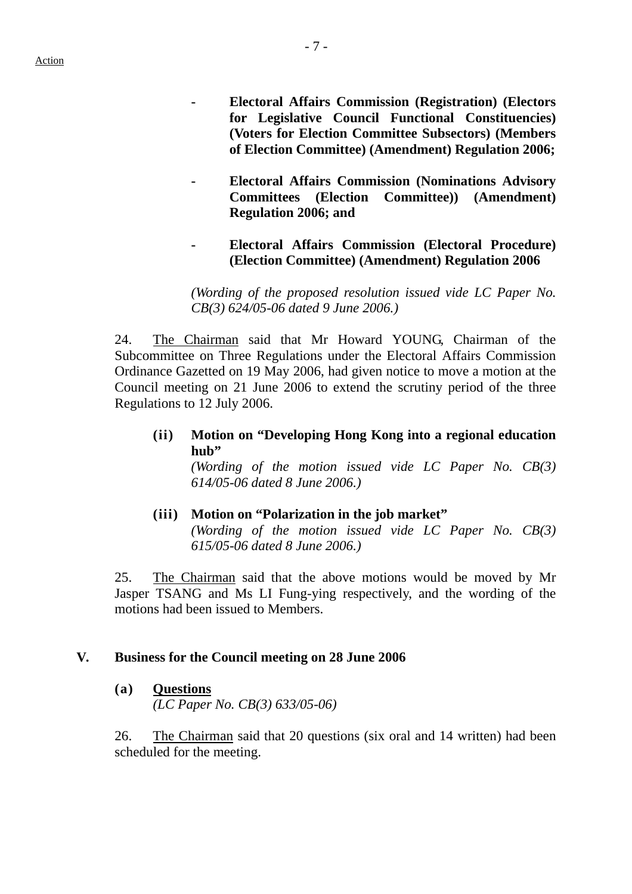**- Electoral Affairs Commission (Registration) (Electors for Legislative Council Functional Constituencies) (Voters for Election Committee Subsectors) (Members of Election Committee) (Amendment) Regulation 2006;** 

- **Electoral Affairs Commission (Nominations Advisory Committees (Election Committee)) (Amendment) Regulation 2006; and** 
	- **Electoral Affairs Commission (Electoral Procedure) (Election Committee) (Amendment) Regulation 2006**

*(Wording of the proposed resolution issued vide LC Paper No. CB(3) 624/05-06 dated 9 June 2006.)* 

24. The Chairman said that Mr Howard YOUNG, Chairman of the Subcommittee on Three Regulations under the Electoral Affairs Commission Ordinance Gazetted on 19 May 2006, had given notice to move a motion at the Council meeting on 21 June 2006 to extend the scrutiny period of the three Regulations to 12 July 2006.

**(ii) Motion on "Developing Hong Kong into a regional education hub"** 

*(Wording of the motion issued vide LC Paper No. CB(3) 614/05-06 dated 8 June 2006.)*

 **(iii) Motion on "Polarization in the job market"**  *(Wording of the motion issued vide LC Paper No. CB(3) 615/05-06 dated 8 June 2006.)* 

25. The Chairman said that the above motions would be moved by Mr Jasper TSANG and Ms LI Fung-ying respectively, and the wording of the motions had been issued to Members.

### **V. Business for the Council meeting on 28 June 2006**

### **(a) Questions**

*(LC Paper No. CB(3) 633/05-06)* 

26. The Chairman said that 20 questions (six oral and 14 written) had been scheduled for the meeting.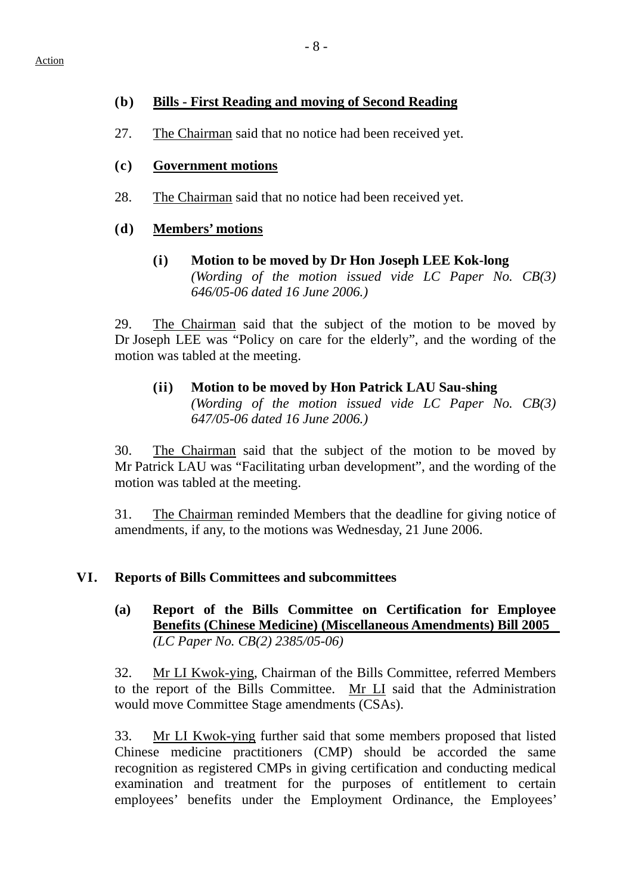## **(b) Bills - First Reading and moving of Second Reading**

- 27. The Chairman said that no notice had been received yet.
- **(c) Government motions**
- 28. The Chairman said that no notice had been received yet.

# **(d) Members' motions**

**(i) Motion to be moved by Dr Hon Joseph LEE Kok-long**  *(Wording of the motion issued vide LC Paper No. CB(3) 646/05-06 dated 16 June 2006.)* 

29. The Chairman said that the subject of the motion to be moved by Dr Joseph LEE was "Policy on care for the elderly", and the wording of the motion was tabled at the meeting.

#### **(ii) Motion to be moved by Hon Patrick LAU Sau-shing**  *(Wording of the motion issued vide LC Paper No. CB(3) 647/05-06 dated 16 June 2006.)*

30. The Chairman said that the subject of the motion to be moved by Mr Patrick LAU was "Facilitating urban development", and the wording of the motion was tabled at the meeting.

31. The Chairman reminded Members that the deadline for giving notice of amendments, if any, to the motions was Wednesday, 21 June 2006.

# **VI. Reports of Bills Committees and subcommittees**

**(a) Report of the Bills Committee on Certification for Employee Benefits (Chinese Medicine) (Miscellaneous Amendments) Bill 2005**  *(LC Paper No. CB(2) 2385/05-06)*

32. Mr LI Kwok-ying, Chairman of the Bills Committee, referred Members to the report of the Bills Committee. Mr LI said that the Administration would move Committee Stage amendments (CSAs).

33. Mr LI Kwok-ying further said that some members proposed that listed Chinese medicine practitioners (CMP) should be accorded the same recognition as registered CMPs in giving certification and conducting medical examination and treatment for the purposes of entitlement to certain employees' benefits under the Employment Ordinance, the Employees'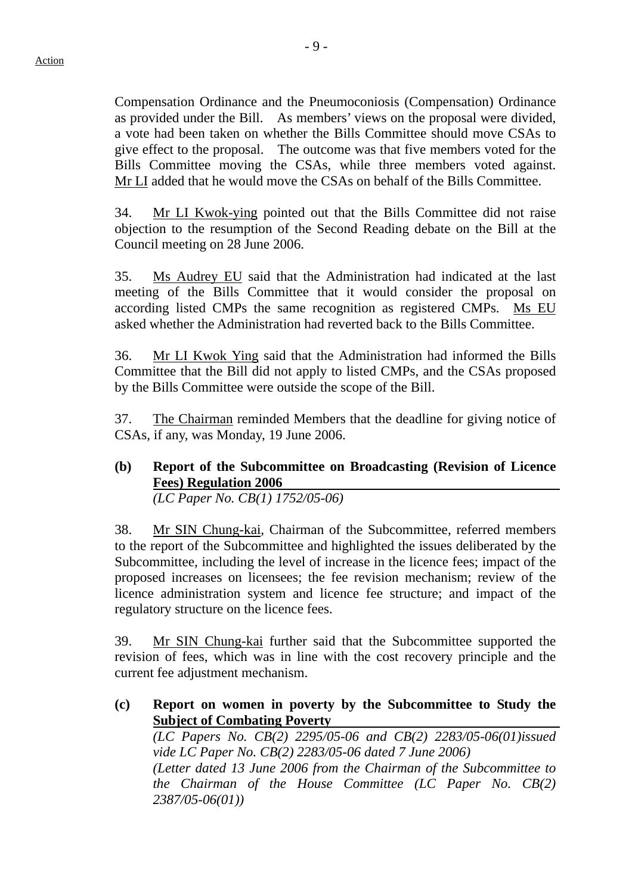Compensation Ordinance and the Pneumoconiosis (Compensation) Ordinance as provided under the Bill. As members' views on the proposal were divided, a vote had been taken on whether the Bills Committee should move CSAs to give effect to the proposal. The outcome was that five members voted for the Bills Committee moving the CSAs, while three members voted against. Mr LI added that he would move the CSAs on behalf of the Bills Committee.

34. Mr LI Kwok-ying pointed out that the Bills Committee did not raise objection to the resumption of the Second Reading debate on the Bill at the Council meeting on 28 June 2006.

35. Ms Audrey EU said that the Administration had indicated at the last meeting of the Bills Committee that it would consider the proposal on according listed CMPs the same recognition as registered CMPs. Ms EU asked whether the Administration had reverted back to the Bills Committee.

36. Mr LI Kwok Ying said that the Administration had informed the Bills Committee that the Bill did not apply to listed CMPs, and the CSAs proposed by the Bills Committee were outside the scope of the Bill.

37. The Chairman reminded Members that the deadline for giving notice of CSAs, if any, was Monday, 19 June 2006.

**(b) Report of the Subcommittee on Broadcasting (Revision of Licence Fees) Regulation 2006**  *(LC Paper No. CB(1) 1752/05-06)* 

38. Mr SIN Chung-kai, Chairman of the Subcommittee, referred members to the report of the Subcommittee and highlighted the issues deliberated by the Subcommittee, including the level of increase in the licence fees; impact of the proposed increases on licensees; the fee revision mechanism; review of the licence administration system and licence fee structure; and impact of the regulatory structure on the licence fees.

39. Mr SIN Chung-kai further said that the Subcommittee supported the revision of fees, which was in line with the cost recovery principle and the current fee adjustment mechanism.

**(c) Report on women in poverty by the Subcommittee to Study the Subject of Combating Poverty** 

*(LC Papers No. CB(2) 2295/05-06 and CB(2) 2283/05-06(01)issued vide LC Paper No. CB(2) 2283/05-06 dated 7 June 2006) (Letter dated 13 June 2006 from the Chairman of the Subcommittee to the Chairman of the House Committee (LC Paper No. CB(2) 2387/05-06(01))*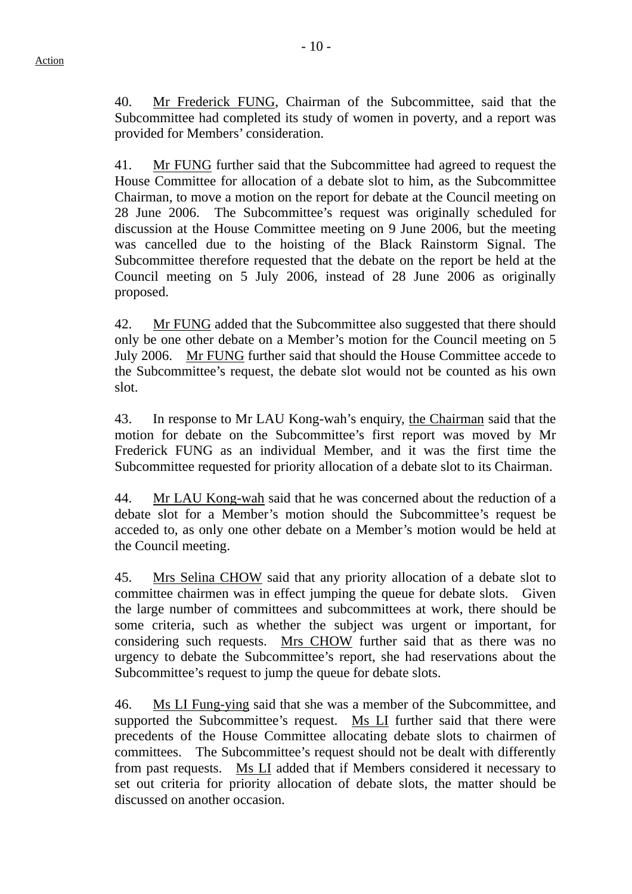40. Mr Frederick FUNG, Chairman of the Subcommittee, said that the Subcommittee had completed its study of women in poverty, and a report was provided for Members' consideration.

41. Mr FUNG further said that the Subcommittee had agreed to request the House Committee for allocation of a debate slot to him, as the Subcommittee Chairman, to move a motion on the report for debate at the Council meeting on 28 June 2006. The Subcommittee's request was originally scheduled for discussion at the House Committee meeting on 9 June 2006, but the meeting was cancelled due to the hoisting of the Black Rainstorm Signal. The Subcommittee therefore requested that the debate on the report be held at the Council meeting on 5 July 2006, instead of 28 June 2006 as originally proposed.

42. Mr FUNG added that the Subcommittee also suggested that there should only be one other debate on a Member's motion for the Council meeting on 5 July 2006. Mr FUNG further said that should the House Committee accede to the Subcommittee's request, the debate slot would not be counted as his own slot.

43. In response to Mr LAU Kong-wah's enquiry, the Chairman said that the motion for debate on the Subcommittee's first report was moved by Mr Frederick FUNG as an individual Member, and it was the first time the Subcommittee requested for priority allocation of a debate slot to its Chairman.

44. Mr LAU Kong-wah said that he was concerned about the reduction of a debate slot for a Member's motion should the Subcommittee's request be acceded to, as only one other debate on a Member's motion would be held at the Council meeting.

45. Mrs Selina CHOW said that any priority allocation of a debate slot to committee chairmen was in effect jumping the queue for debate slots. Given the large number of committees and subcommittees at work, there should be some criteria, such as whether the subject was urgent or important, for considering such requests. Mrs CHOW further said that as there was no urgency to debate the Subcommittee's report, she had reservations about the Subcommittee's request to jump the queue for debate slots.

46. Ms LI Fung-ying said that she was a member of the Subcommittee, and supported the Subcommittee's request. Ms LI further said that there were precedents of the House Committee allocating debate slots to chairmen of committees. The Subcommittee's request should not be dealt with differently from past requests. Ms LI added that if Members considered it necessary to set out criteria for priority allocation of debate slots, the matter should be discussed on another occasion.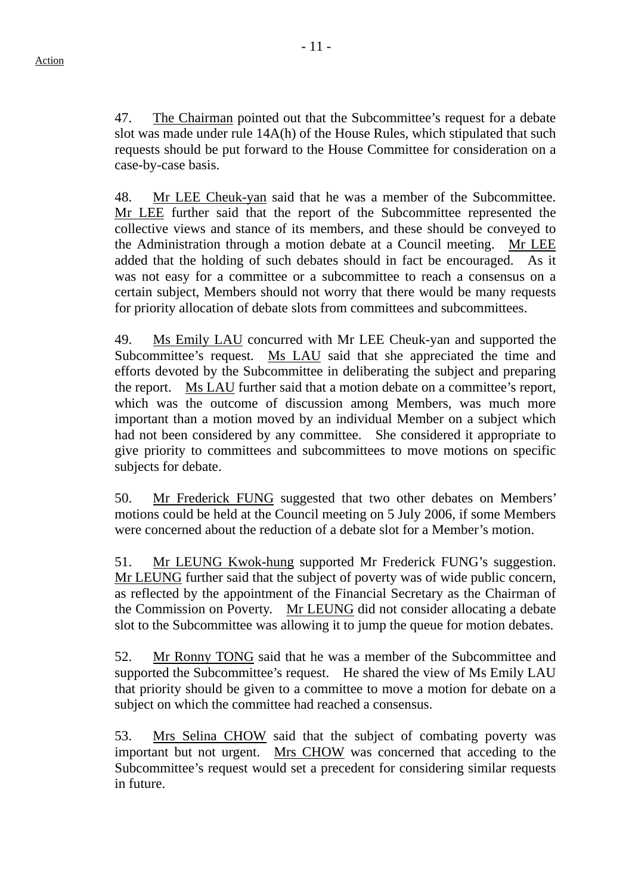47. The Chairman pointed out that the Subcommittee's request for a debate slot was made under rule 14A(h) of the House Rules, which stipulated that such requests should be put forward to the House Committee for consideration on a case-by-case basis.

48. Mr LEE Cheuk-yan said that he was a member of the Subcommittee. Mr LEE further said that the report of the Subcommittee represented the collective views and stance of its members, and these should be conveyed to the Administration through a motion debate at a Council meeting. Mr LEE added that the holding of such debates should in fact be encouraged. As it was not easy for a committee or a subcommittee to reach a consensus on a certain subject, Members should not worry that there would be many requests for priority allocation of debate slots from committees and subcommittees.

49. Ms Emily LAU concurred with Mr LEE Cheuk-yan and supported the Subcommittee's request. Ms LAU said that she appreciated the time and efforts devoted by the Subcommittee in deliberating the subject and preparing the report. Ms LAU further said that a motion debate on a committee's report, which was the outcome of discussion among Members, was much more important than a motion moved by an individual Member on a subject which had not been considered by any committee. She considered it appropriate to give priority to committees and subcommittees to move motions on specific subjects for debate.

50. Mr Frederick FUNG suggested that two other debates on Members' motions could be held at the Council meeting on 5 July 2006, if some Members were concerned about the reduction of a debate slot for a Member's motion.

51. Mr LEUNG Kwok-hung supported Mr Frederick FUNG's suggestion. Mr LEUNG further said that the subject of poverty was of wide public concern, as reflected by the appointment of the Financial Secretary as the Chairman of the Commission on Poverty. Mr LEUNG did not consider allocating a debate slot to the Subcommittee was allowing it to jump the queue for motion debates.

52. Mr Ronny TONG said that he was a member of the Subcommittee and supported the Subcommittee's request. He shared the view of Ms Emily LAU that priority should be given to a committee to move a motion for debate on a subject on which the committee had reached a consensus.

53. Mrs Selina CHOW said that the subject of combating poverty was important but not urgent. Mrs CHOW was concerned that acceding to the Subcommittee's request would set a precedent for considering similar requests in future.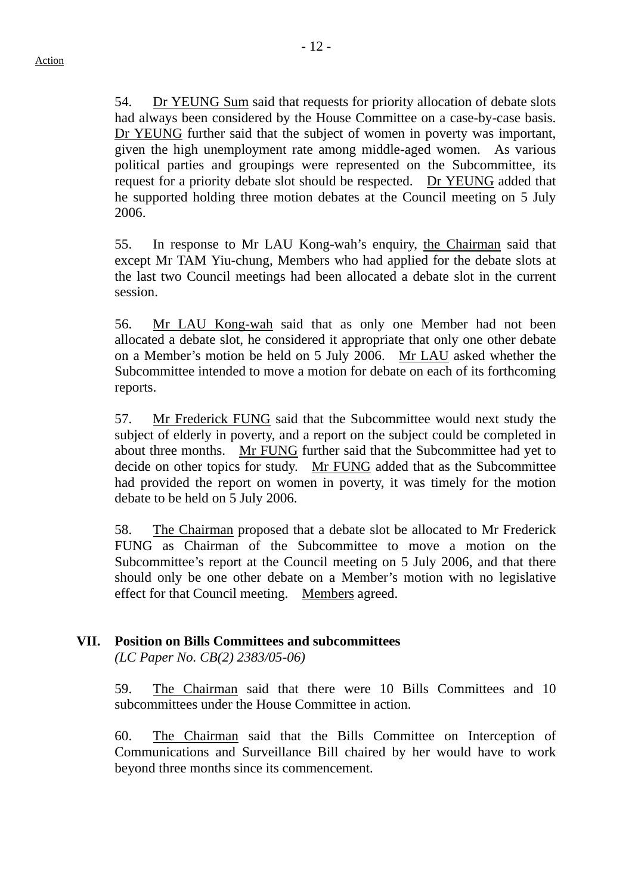54. Dr YEUNG Sum said that requests for priority allocation of debate slots had always been considered by the House Committee on a case-by-case basis. Dr YEUNG further said that the subject of women in poverty was important, given the high unemployment rate among middle-aged women. As various political parties and groupings were represented on the Subcommittee, its request for a priority debate slot should be respected. Dr YEUNG added that he supported holding three motion debates at the Council meeting on 5 July 2006.

55. In response to Mr LAU Kong-wah's enquiry, the Chairman said that except Mr TAM Yiu-chung, Members who had applied for the debate slots at the last two Council meetings had been allocated a debate slot in the current session.

56. Mr LAU Kong-wah said that as only one Member had not been allocated a debate slot, he considered it appropriate that only one other debate on a Member's motion be held on 5 July 2006. Mr LAU asked whether the Subcommittee intended to move a motion for debate on each of its forthcoming reports.

57. Mr Frederick FUNG said that the Subcommittee would next study the subject of elderly in poverty, and a report on the subject could be completed in about three months. Mr FUNG further said that the Subcommittee had yet to decide on other topics for study. Mr FUNG added that as the Subcommittee had provided the report on women in poverty, it was timely for the motion debate to be held on 5 July 2006.

58. The Chairman proposed that a debate slot be allocated to Mr Frederick FUNG as Chairman of the Subcommittee to move a motion on the Subcommittee's report at the Council meeting on 5 July 2006, and that there should only be one other debate on a Member's motion with no legislative effect for that Council meeting. Members agreed.

## **VII. Position on Bills Committees and subcommittees**

*(LC Paper No. CB(2) 2383/05-06)* 

59. The Chairman said that there were 10 Bills Committees and 10 subcommittees under the House Committee in action.

60. The Chairman said that the Bills Committee on Interception of Communications and Surveillance Bill chaired by her would have to work beyond three months since its commencement.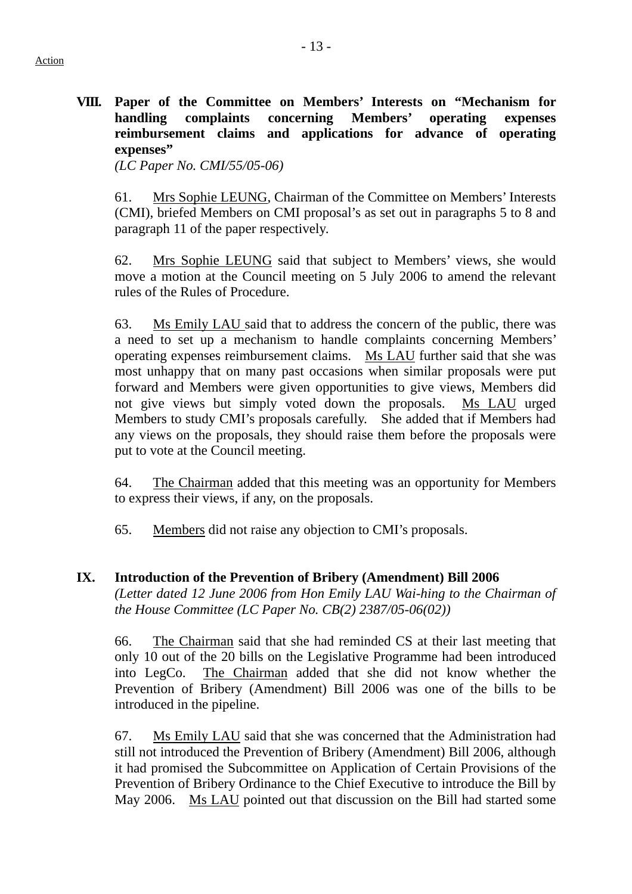**VIII. Paper of the Committee on Members' Interests on "Mechanism for handling complaints concerning Members' operating expenses reimbursement claims and applications for advance of operating expenses"** 

*(LC Paper No. CMI/55/05-06)*

61. Mrs Sophie LEUNG, Chairman of the Committee on Members' Interests (CMI), briefed Members on CMI proposal's as set out in paragraphs 5 to 8 and paragraph 11 of the paper respectively.

62. Mrs Sophie LEUNG said that subject to Members' views, she would move a motion at the Council meeting on 5 July 2006 to amend the relevant rules of the Rules of Procedure.

63. Ms Emily LAU said that to address the concern of the public, there was a need to set up a mechanism to handle complaints concerning Members' operating expenses reimbursement claims. Ms LAU further said that she was most unhappy that on many past occasions when similar proposals were put forward and Members were given opportunities to give views, Members did not give views but simply voted down the proposals. Ms LAU urged Members to study CMI's proposals carefully. She added that if Members had any views on the proposals, they should raise them before the proposals were put to vote at the Council meeting.

64. The Chairman added that this meeting was an opportunity for Members to express their views, if any, on the proposals.

65. Members did not raise any objection to CMI's proposals.

### **IX. Introduction of the Prevention of Bribery (Amendment) Bill 2006**

*(Letter dated 12 June 2006 from Hon Emily LAU Wai-hing to the Chairman of the House Committee (LC Paper No. CB(2) 2387/05-06(02))* 

66. The Chairman said that she had reminded CS at their last meeting that only 10 out of the 20 bills on the Legislative Programme had been introduced into LegCo. The Chairman added that she did not know whether the Prevention of Bribery (Amendment) Bill 2006 was one of the bills to be introduced in the pipeline.

67. Ms Emily LAU said that she was concerned that the Administration had still not introduced the Prevention of Bribery (Amendment) Bill 2006, although it had promised the Subcommittee on Application of Certain Provisions of the Prevention of Bribery Ordinance to the Chief Executive to introduce the Bill by May 2006. Ms LAU pointed out that discussion on the Bill had started some